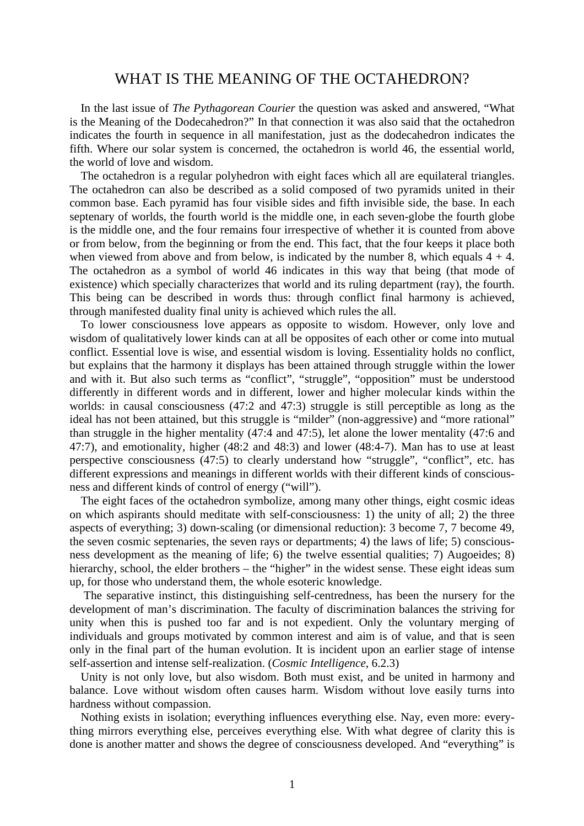## WHAT IS THE MEANING OF THE OCTAHEDRON?

In the last issue of *The Pythagorean Courier* the question was asked and answered, "What is the Meaning of the Dodecahedron?" In that connection it was also said that the octahedron indicates the fourth in sequence in all manifestation, just as the dodecahedron indicates the fifth. Where our solar system is concerned, the octahedron is world 46, the essential world, the world of love and wisdom.

The octahedron is a regular polyhedron with eight faces which all are equilateral triangles. The octahedron can also be described as a solid composed of two pyramids united in their common base. Each pyramid has four visible sides and fifth invisible side, the base. In each septenary of worlds, the fourth world is the middle one, in each seven-globe the fourth globe is the middle one, and the four remains four irrespective of whether it is counted from above or from below, from the beginning or from the end. This fact, that the four keeps it place both when viewed from above and from below, is indicated by the number 8, which equals  $4 + 4$ . The octahedron as a symbol of world 46 indicates in this way that being (that mode of existence) which specially characterizes that world and its ruling department (ray), the fourth. This being can be described in words thus: through conflict final harmony is achieved, through manifested duality final unity is achieved which rules the all.

To lower consciousness love appears as opposite to wisdom. However, only love and wisdom of qualitatively lower kinds can at all be opposites of each other or come into mutual conflict. Essential love is wise, and essential wisdom is loving. Essentiality holds no conflict, but explains that the harmony it displays has been attained through struggle within the lower and with it. But also such terms as "conflict", "struggle", "opposition" must be understood differently in different words and in different, lower and higher molecular kinds within the worlds: in causal consciousness (47:2 and 47:3) struggle is still perceptible as long as the ideal has not been attained, but this struggle is "milder" (non-aggressive) and "more rational" than struggle in the higher mentality (47:4 and 47:5), let alone the lower mentality (47:6 and 47:7), and emotionality, higher (48:2 and 48:3) and lower (48:4-7). Man has to use at least perspective consciousness (47:5) to clearly understand how "struggle", "conflict", etc. has different expressions and meanings in different worlds with their different kinds of consciousness and different kinds of control of energy ("will").

The eight faces of the octahedron symbolize, among many other things, eight cosmic ideas on which aspirants should meditate with self-consciousness: 1) the unity of all; 2) the three aspects of everything; 3) down-scaling (or dimensional reduction): 3 become 7, 7 become 49, the seven cosmic septenaries, the seven rays or departments; 4) the laws of life; 5) consciousness development as the meaning of life; 6) the twelve essential qualities; 7) Augoeides; 8) hierarchy, school, the elder brothers – the "higher" in the widest sense. These eight ideas sum up, for those who understand them, the whole esoteric knowledge.

The separative instinct, this distinguishing self-centredness, has been the nursery for the development of man's discrimination. The faculty of discrimination balances the striving for unity when this is pushed too far and is not expedient. Only the voluntary merging of individuals and groups motivated by common interest and aim is of value, and that is seen only in the final part of the human evolution. It is incident upon an earlier stage of intense self-assertion and intense self-realization. (*Cosmic Intelligence*, 6.2.3)

Unity is not only love, but also wisdom. Both must exist, and be united in harmony and balance. Love without wisdom often causes harm. Wisdom without love easily turns into hardness without compassion.

Nothing exists in isolation; everything influences everything else. Nay, even more: everything mirrors everything else, perceives everything else. With what degree of clarity this is done is another matter and shows the degree of consciousness developed. And "everything" is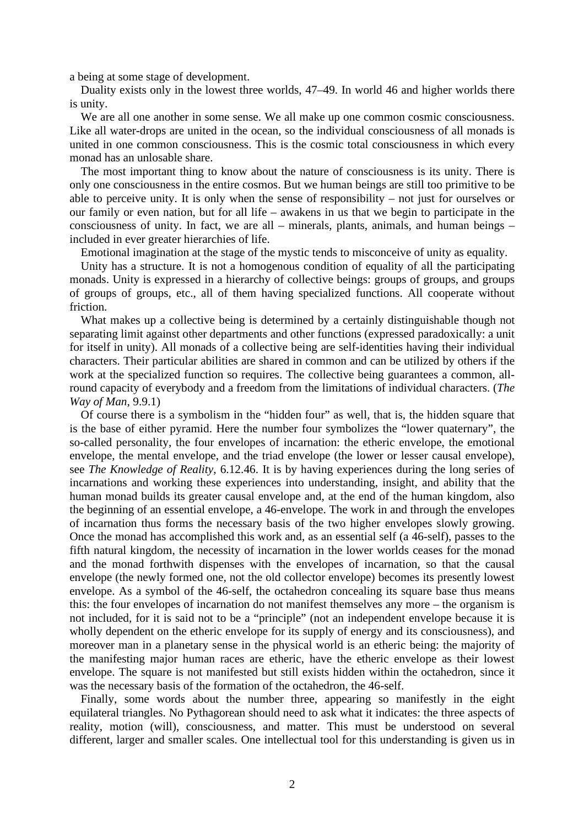a being at some stage of development.

Duality exists only in the lowest three worlds, 47–49. In world 46 and higher worlds there is unity.

We are all one another in some sense. We all make up one common cosmic consciousness. Like all water-drops are united in the ocean, so the individual consciousness of all monads is united in one common consciousness. This is the cosmic total consciousness in which every monad has an unlosable share.

The most important thing to know about the nature of consciousness is its unity. There is only one consciousness in the entire cosmos. But we human beings are still too primitive to be able to perceive unity. It is only when the sense of responsibility – not just for ourselves or our family or even nation, but for all life – awakens in us that we begin to participate in the consciousness of unity. In fact, we are all – minerals, plants, animals, and human beings – included in ever greater hierarchies of life.

Emotional imagination at the stage of the mystic tends to misconceive of unity as equality.

Unity has a structure. It is not a homogenous condition of equality of all the participating monads. Unity is expressed in a hierarchy of collective beings: groups of groups, and groups of groups of groups, etc., all of them having specialized functions. All cooperate without friction.

What makes up a collective being is determined by a certainly distinguishable though not separating limit against other departments and other functions (expressed paradoxically: a unit for itself in unity). All monads of a collective being are self-identities having their individual characters. Their particular abilities are shared in common and can be utilized by others if the work at the specialized function so requires. The collective being guarantees a common, allround capacity of everybody and a freedom from the limitations of individual characters. (*The Way of Man*, 9.9.1)

Of course there is a symbolism in the "hidden four" as well, that is, the hidden square that is the base of either pyramid. Here the number four symbolizes the "lower quaternary", the so-called personality, the four envelopes of incarnation: the etheric envelope, the emotional envelope, the mental envelope, and the triad envelope (the lower or lesser causal envelope), see *The Knowledge of Reality*, 6.12.46. It is by having experiences during the long series of incarnations and working these experiences into understanding, insight, and ability that the human monad builds its greater causal envelope and, at the end of the human kingdom, also the beginning of an essential envelope, a 46-envelope. The work in and through the envelopes of incarnation thus forms the necessary basis of the two higher envelopes slowly growing. Once the monad has accomplished this work and, as an essential self (a 46-self), passes to the fifth natural kingdom, the necessity of incarnation in the lower worlds ceases for the monad and the monad forthwith dispenses with the envelopes of incarnation, so that the causal envelope (the newly formed one, not the old collector envelope) becomes its presently lowest envelope. As a symbol of the 46-self, the octahedron concealing its square base thus means this: the four envelopes of incarnation do not manifest themselves any more – the organism is not included, for it is said not to be a "principle" (not an independent envelope because it is wholly dependent on the etheric envelope for its supply of energy and its consciousness), and moreover man in a planetary sense in the physical world is an etheric being: the majority of the manifesting major human races are etheric, have the etheric envelope as their lowest envelope. The square is not manifested but still exists hidden within the octahedron, since it was the necessary basis of the formation of the octahedron, the 46-self.

Finally, some words about the number three, appearing so manifestly in the eight equilateral triangles. No Pythagorean should need to ask what it indicates: the three aspects of reality, motion (will), consciousness, and matter. This must be understood on several different, larger and smaller scales. One intellectual tool for this understanding is given us in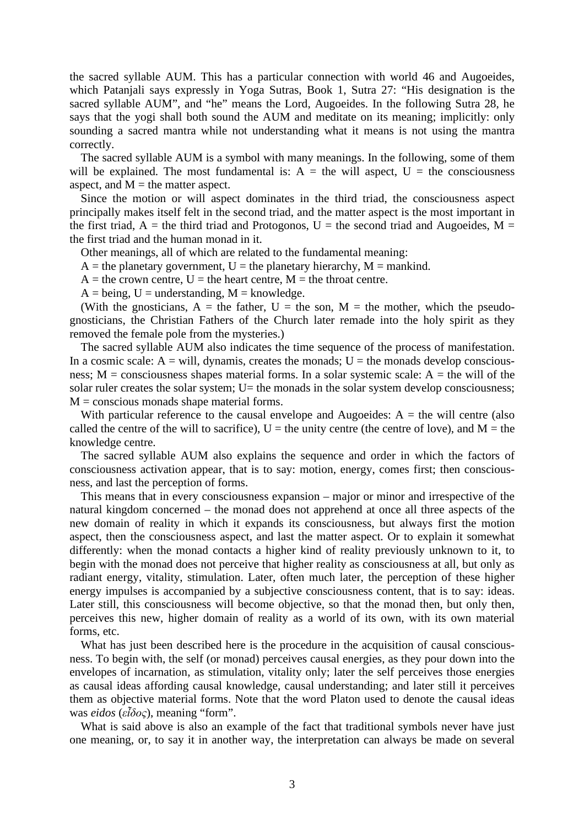the sacred syllable AUM. This has a particular connection with world 46 and Augoeides, which Patanjali says expressly in Yoga Sutras, Book 1, Sutra 27: "His designation is the sacred syllable AUM", and "he" means the Lord, Augoeides. In the following Sutra 28, he says that the yogi shall both sound the AUM and meditate on its meaning; implicitly: only sounding a sacred mantra while not understanding what it means is not using the mantra correctly.

The sacred syllable AUM is a symbol with many meanings. In the following, some of them will be explained. The most fundamental is:  $A =$  the will aspect,  $U =$  the consciousness aspect, and  $M =$  the matter aspect.

Since the motion or will aspect dominates in the third triad, the consciousness aspect principally makes itself felt in the second triad, and the matter aspect is the most important in the first triad,  $A =$  the third triad and Protogonos,  $U =$  the second triad and Augoeides,  $M =$ the first triad and the human monad in it.

Other meanings, all of which are related to the fundamental meaning:

 $A =$  the planetary government, U = the planetary hierarchy, M = mankind.

 $A =$  the crown centre,  $U =$  the heart centre,  $M =$  the throat centre.

 $A = being, U = understanding, M = knowledge.$ 

(With the gnosticians,  $A =$  the father,  $U =$  the son,  $M =$  the mother, which the pseudognosticians, the Christian Fathers of the Church later remade into the holy spirit as they removed the female pole from the mysteries.)

The sacred syllable AUM also indicates the time sequence of the process of manifestation. In a cosmic scale:  $A = will$ , dynamis, creates the monads;  $U =$  the monads develop consciousness;  $M =$  consciousness shapes material forms. In a solar systemic scale:  $A =$  the will of the solar ruler creates the solar system;  $U=$  the monads in the solar system develop consciousness;  $M =$  conscious monads shape material forms.

With particular reference to the causal envelope and Augoeides:  $A =$  the will centre (also called the centre of the will to sacrifice),  $U =$  the unity centre (the centre of love), and  $M =$  the knowledge centre.

The sacred syllable AUM also explains the sequence and order in which the factors of consciousness activation appear, that is to say: motion, energy, comes first; then consciousness, and last the perception of forms.

This means that in every consciousness expansion – major or minor and irrespective of the natural kingdom concerned – the monad does not apprehend at once all three aspects of the new domain of reality in which it expands its consciousness, but always first the motion aspect, then the consciousness aspect, and last the matter aspect. Or to explain it somewhat differently: when the monad contacts a higher kind of reality previously unknown to it, to begin with the monad does not perceive that higher reality as consciousness at all, but only as radiant energy, vitality, stimulation. Later, often much later, the perception of these higher energy impulses is accompanied by a subjective consciousness content, that is to say: ideas. Later still, this consciousness will become objective, so that the monad then, but only then, perceives this new, higher domain of reality as a world of its own, with its own material forms, etc.

What has just been described here is the procedure in the acquisition of causal consciousness. To begin with, the self (or monad) perceives causal energies, as they pour down into the envelopes of incarnation, as stimulation, vitality only; later the self perceives those energies as causal ideas affording causal knowledge, causal understanding; and later still it perceives them as objective material forms. Note that the word Platon used to denote the causal ideas was *eidos* (*εἶδος*), meaning "form".

What is said above is also an example of the fact that traditional symbols never have just one meaning, or, to say it in another way, the interpretation can always be made on several